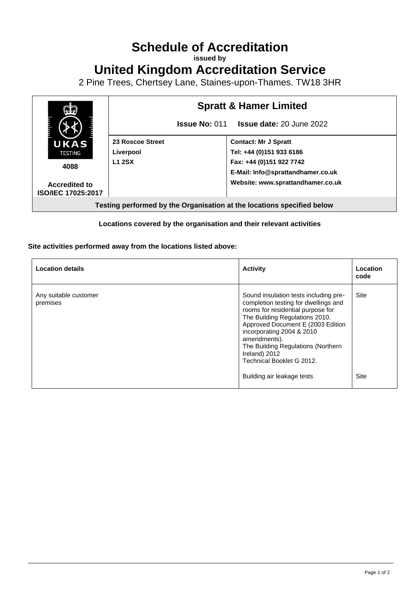## **Schedule of Accreditation**

**issued by**

## **United Kingdom Accreditation Service**

2 Pine Trees, Chertsey Lane, Staines-upon-Thames. TW18 3HR



## **Locations covered by the organisation and their relevant activities**

## **Site activities performed away from the locations listed above:**

| <b>Location details</b>           | <b>Activity</b>                                                                                                                                                                                                                                                                                                                                          | Location<br>code    |
|-----------------------------------|----------------------------------------------------------------------------------------------------------------------------------------------------------------------------------------------------------------------------------------------------------------------------------------------------------------------------------------------------------|---------------------|
| Any suitable customer<br>premises | Sound insulation tests including pre-<br>completion testing for dwellings and<br>rooms for residential purpose for<br>The Building Regulations 2010.<br>Approved Document E (2003 Edition<br>incorporating 2004 & 2010<br>amendments).<br>The Building Regulations (Northern<br>Ireland) 2012<br>Technical Booklet G 2012.<br>Building air leakage tests | <b>Site</b><br>Site |